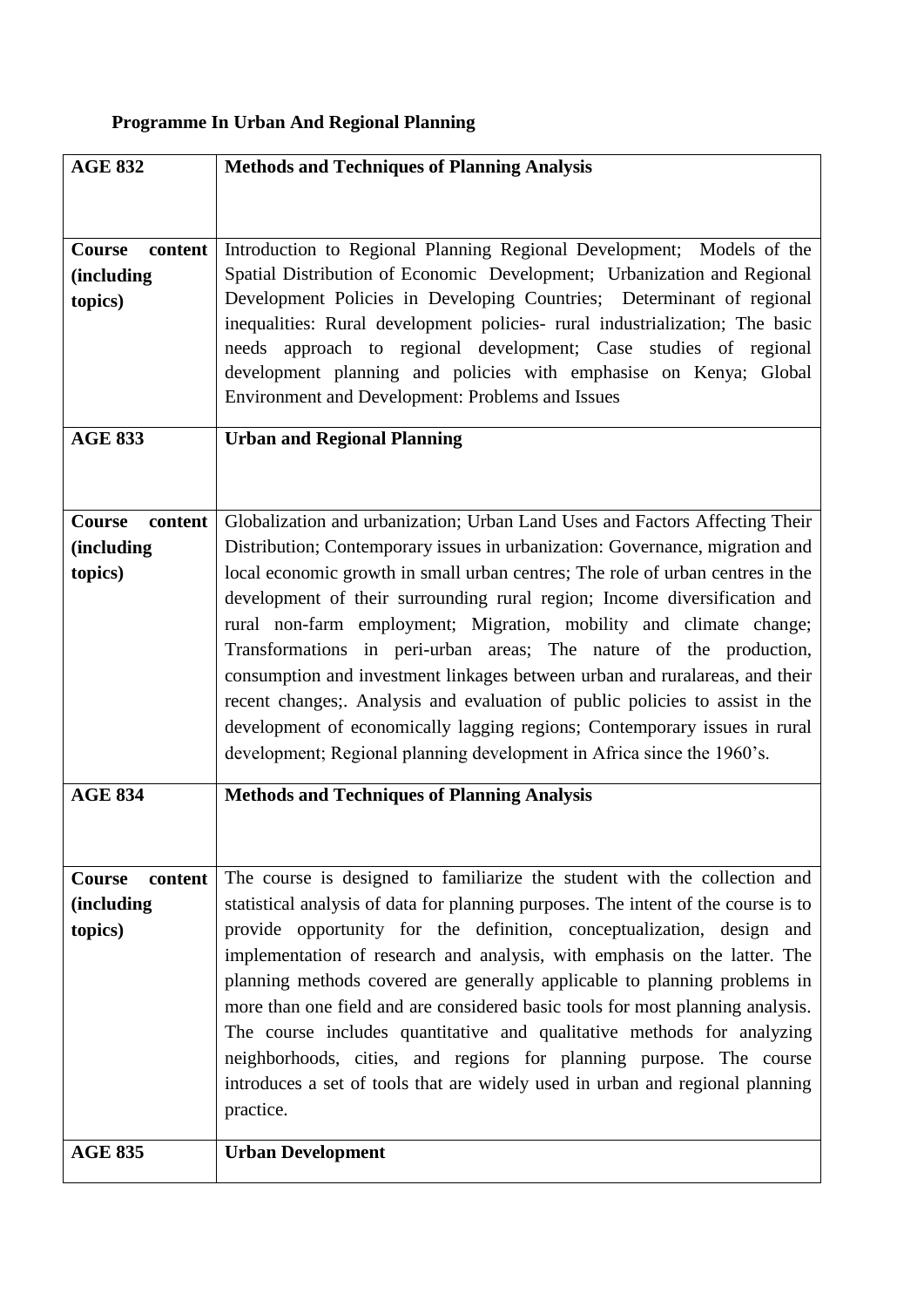## **Programme In Urban And Regional Planning**

| <b>AGE 832</b>           | <b>Methods and Techniques of Planning Analysis</b>                                 |
|--------------------------|------------------------------------------------------------------------------------|
|                          |                                                                                    |
|                          |                                                                                    |
| <b>Course</b><br>content | Introduction to Regional Planning Regional Development; Models of the              |
| <i>(including)</i>       | Spatial Distribution of Economic Development; Urbanization and Regional            |
| topics)                  | Development Policies in Developing Countries; Determinant of regional              |
|                          | inequalities: Rural development policies- rural industrialization; The basic       |
|                          | needs approach to regional development; Case studies of regional                   |
|                          | development planning and policies with emphasise on Kenya; Global                  |
|                          | Environment and Development: Problems and Issues                                   |
|                          |                                                                                    |
| <b>AGE 833</b>           | <b>Urban and Regional Planning</b>                                                 |
|                          |                                                                                    |
|                          |                                                                                    |
| <b>Course</b><br>content | Globalization and urbanization; Urban Land Uses and Factors Affecting Their        |
| <i>(including)</i>       | Distribution; Contemporary issues in urbanization: Governance, migration and       |
| topics)                  | local economic growth in small urban centres; The role of urban centres in the     |
|                          | development of their surrounding rural region; Income diversification and          |
|                          | rural non-farm employment; Migration, mobility and climate change;                 |
|                          | Transformations in peri-urban areas; The nature of the production,                 |
|                          | consumption and investment linkages between urban and ruralareas, and their        |
|                          | recent changes;. Analysis and evaluation of public policies to assist in the       |
|                          | development of economically lagging regions; Contemporary issues in rural          |
|                          | development; Regional planning development in Africa since the 1960's.             |
| <b>AGE 834</b>           | <b>Methods and Techniques of Planning Analysis</b>                                 |
|                          |                                                                                    |
|                          |                                                                                    |
| Course<br>content        | The course is designed to familiarize the student with the collection and          |
| <i>(including)</i>       | statistical analysis of data for planning purposes. The intent of the course is to |
| topics)                  | provide opportunity for the definition, conceptualization, design and              |
|                          | implementation of research and analysis, with emphasis on the latter. The          |
|                          | planning methods covered are generally applicable to planning problems in          |
|                          | more than one field and are considered basic tools for most planning analysis.     |
|                          | The course includes quantitative and qualitative methods for analyzing             |
|                          | neighborhoods, cities, and regions for planning purpose. The course                |
|                          | introduces a set of tools that are widely used in urban and regional planning      |
|                          | practice.                                                                          |
|                          |                                                                                    |
| <b>AGE 835</b>           | <b>Urban Development</b>                                                           |
|                          |                                                                                    |